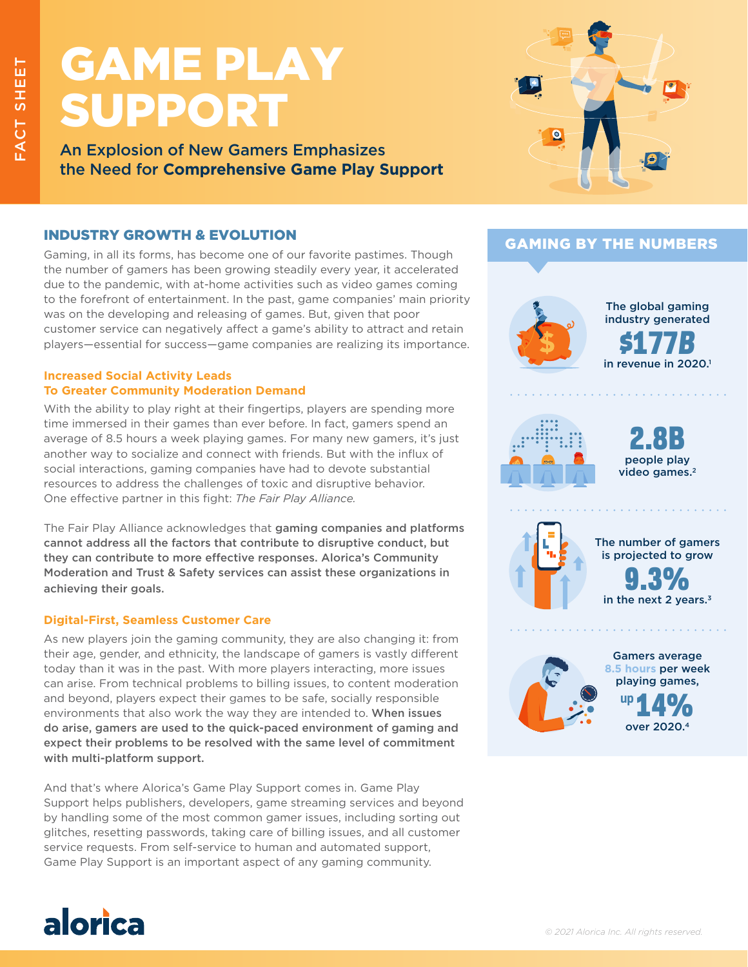# GAME PLAY SUPPORT

An Explosion of New Gamers Emphasizes the Need for **Comprehensive Game Play Support**

# INDUSTRY GROWTH & EVOLUTION

Gaming, in all its forms, has become one of our favorite pastimes. Though the number of gamers has been growing steadily every year, it accelerated due to the pandemic, with at-home activities such as video games coming to the forefront of entertainment. In the past, game companies' main priority was on the developing and releasing of games. But, given that poor customer service can negatively affect a game's ability to attract and retain players—essential for success—game companies are realizing its importance.

### **Increased Social Activity Leads To Greater Community Moderation Demand**

With the ability to play right at their fingertips, players are spending more time immersed in their games than ever before. In fact, gamers spend an average of 8.5 hours a week playing games. For many new gamers, it's just another way to socialize and connect with friends. But with the influx of social interactions, gaming companies have had to devote substantial resources to address the challenges of toxic and disruptive behavior. One effective partner in this fight: *The Fair Play Alliance.*

The Fair Play Alliance acknowledges that gaming companies and platforms cannot address all the factors that contribute to disruptive conduct, but they can contribute to more effective responses. Alorica's Community Moderation and Trust & Safety services can assist these organizations in achieving their goals.

## **Digital-First, Seamless Customer Care**

As new players join the gaming community, they are also changing it: from their age, gender, and ethnicity, the landscape of gamers is vastly different today than it was in the past. With more players interacting, more issues can arise. From technical problems to billing issues, to content moderation and beyond, players expect their games to be safe, socially responsible environments that also work the way they are intended to. When issues do arise, gamers are used to the quick-paced environment of gaming and expect their problems to be resolved with the same level of commitment with multi-platform support.

And that's where Alorica's Game Play Support comes in. Game Play Support helps publishers, developers, game streaming services and beyond by handling some of the most common gamer issues, including sorting out glitches, resetting passwords, taking care of billing issues, and all customer service requests. From self-service to human and automated support, Game Play Support is an important aspect of any gaming community.



# GAMING BY THE NUMBERS



 $\mathcal{L}$  , and the set of the set of the set of the set of the  $\mathcal{L}$ 

in revenue in 2020.<sup>1</sup> \$177*B* The global gaming industry generated



people play video games.<sup>2</sup> 2.8B



in the next 2 years.<sup>3</sup> 9.3% The number of gamers is projected to grow

. . . . . . . . . . . . . . .



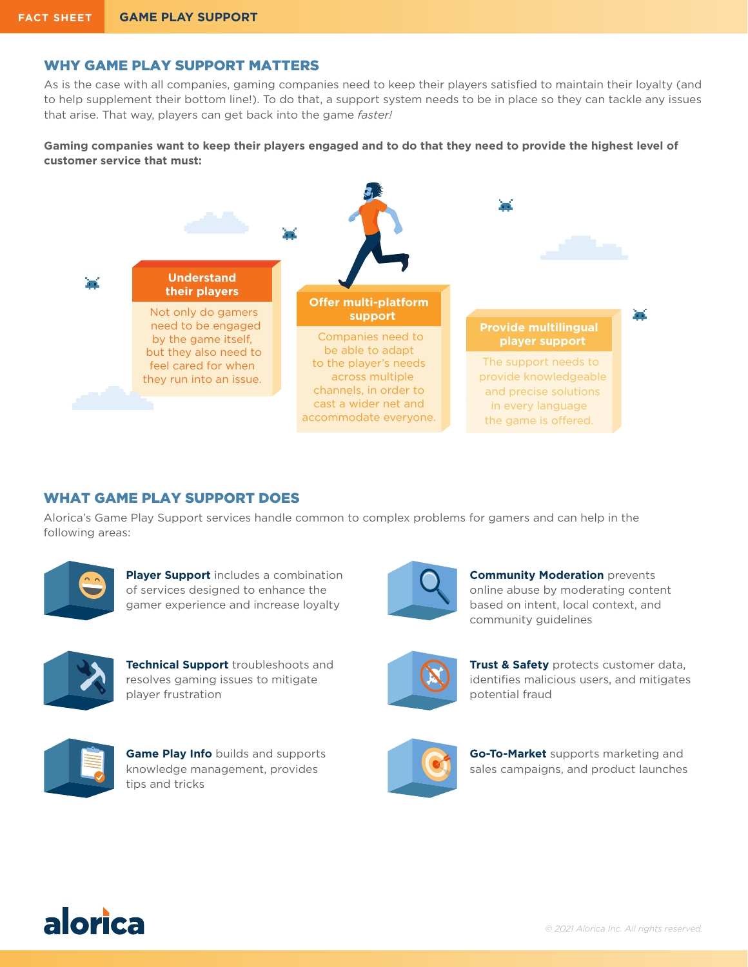## WHY GAME PLAY SUPPORT MATTERS

As is the case with all companies, gaming companies need to keep their players satisfied to maintain their loyalty (and to help supplement their bottom line!). To do that, a support system needs to be in place so they can tackle any issues that arise. That way, players can get back into the game *faster!* 

### **Gaming companies want to keep their players engaged and to do that they need to provide the highest level of customer service that must:**



## WHAT GAME PLAY SUPPORT DOES

Alorica's Game Play Support services handle common to complex problems for gamers and can help in the following areas:



**Player Support** includes a combination of services designed to enhance the gamer experience and increase loyalty



**Technical Support** troubleshoots and resolves gaming issues to mitigate player frustration



**Game Play Info** builds and supports knowledge management, provides tips and tricks



**Community Moderation** prevents online abuse by moderating content based on intent, local context, and community guidelines



**Trust & Safety** protects customer data, identifies malicious users, and mitigates potential fraud



**Go-To-Market** supports marketing and sales campaigns, and product launches